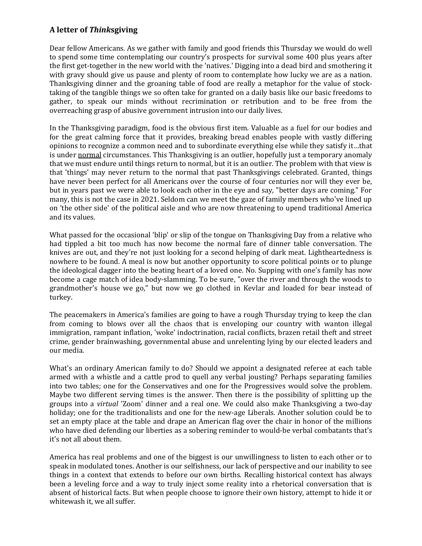## **A letter of** *Think***sgiving**

Dear fellow Americans. As we gather with family and good friends this Thursday we would do well to spend some time contemplating our country's prospects for survival some 400 plus years after the first get-together in the new world with the 'natives.' Digging into a dead bird and smothering it with gravy should give us pause and plenty of room to contemplate how lucky we are as a nation. Thanksgiving dinner and the groaning table of food are really a metaphor for the value of stocktaking of the tangible things we so often take for granted on a daily basis like our basic freedoms to gather, to speak our minds without recrimination or retribution and to be free from the overreaching grasp of abusive government intrusion into our daily lives.

In the Thanksgiving paradigm, food is the obvious first item. Valuable as a fuel for our bodies and for the great calming force that it provides, breaking bread enables people with vastly differing opinions to recognize a common need and to subordinate everything else while they satisfy it…that is under normal circumstances. This Thanksgiving is an outlier, hopefully just a temporary anomaly that we must endure until things return to normal, but it is an outlier. The problem with that view is that 'things' may never return to the normal that past Thanksgivings celebrated. Granted, things have never been perfect for all Americans over the course of four centuries nor will they ever be, but in years past we were able to look each other in the eye and say, "better days are coming." For many, this is not the case in 2021. Seldom can we meet the gaze of family members who've lined up on 'the other side' of the political aisle and who are now threatening to upend traditional America and its values.

What passed for the occasional 'blip' or slip of the tongue on Thanksgiving Day from a relative who had tippled a bit too much has now become the normal fare of dinner table conversation. The knives are out, and they're not just looking for a second helping of dark meat. Lightheartedness is nowhere to be found. A meal is now but another opportunity to score political points or to plunge the ideological dagger into the beating heart of a loved one. No. Supping with one's family has now become a cage match of idea body-slamming. To be sure, "over the river and through the woods to grandmother's house we go," but now we go clothed in Kevlar and loaded for bear instead of turkey.

The peacemakers in America's families are going to have a rough Thursday trying to keep the clan from coming to blows over all the chaos that is enveloping our country with wanton illegal immigration, rampant inflation, 'woke' indoctrination, racial conflicts, brazen retail theft and street crime, gender brainwashing, governmental abuse and unrelenting lying by our elected leaders and our media.

What's an ordinary American family to do? Should we appoint a designated referee at each table armed with a whistle and a cattle prod to quell any verbal jousting? Perhaps separating families into two tables; one for the Conservatives and one for the Progressives would solve the problem. Maybe two different serving times is the answer. Then there is the possibility of splitting up the groups into a *virtual* 'Zoom' dinner and a real one. We could also make Thanksgiving a two-day holiday; one for the traditionalists and one for the new-age Liberals. Another solution could be to set an empty place at the table and drape an American flag over the chair in honor of the millions who have died defending our liberties as a sobering reminder to would-be verbal combatants that's it's not all about them.

America has real problems and one of the biggest is our unwillingness to listen to each other or to speak in modulated tones. Another is our selfishness, our lack of perspective and our inability to see things in a context that extends to before our own births. Recalling historical context has always been a leveling force and a way to truly inject some reality into a rhetorical conversation that is absent of historical facts. But when people choose to ignore their own history, attempt to hide it or whitewash it, we all suffer.